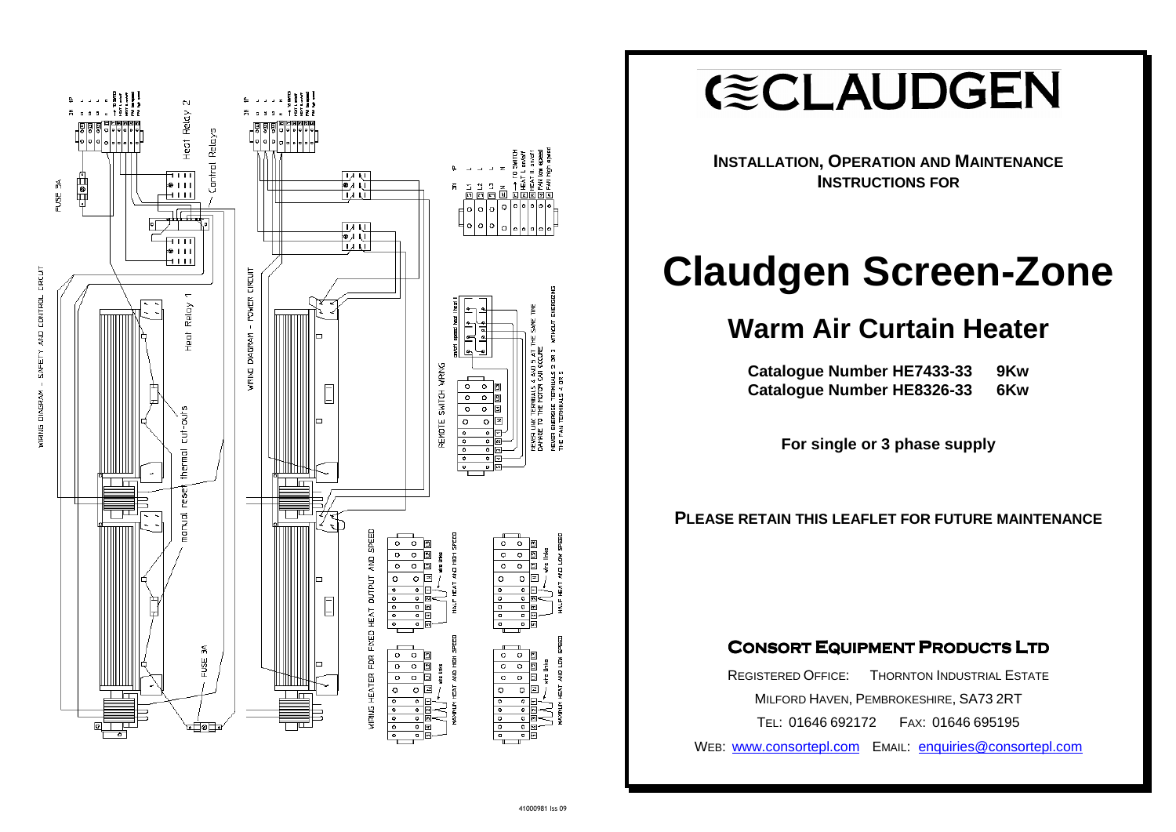

**GECLAUDGEN** 

| HE7433-33 | 9Kw |
|-----------|-----|
| HE8326-33 | 6Kw |

**INSTALLATION, OPERATION AND MAINTENANCEINSTRUCTIONS FOR**

# **Claudgen Screen-Zone**

**Warm Air Curtain Heater** 

**Catalogue Number Catalogue Number** 

**For single or 3 phase supply** 

## **PLEASE RETAIN THIS LEAFLET FOR FUTURE MAINTENANCE**

# **CONSORT EQUIPMENT PRODUCTS LTD**

REGISTERED OFFICE: THORNTON INDUSTRIAL ESTATEMILFORD HAVEN, PEMBROKESHIRE, SA73 2RT TEL: 01646 692172 FAX: <sup>01646</sup> <sup>695195</sup>

WEB: <u>www.consortepl.com</u> Email: <u>enquiries@consortepl.com</u>